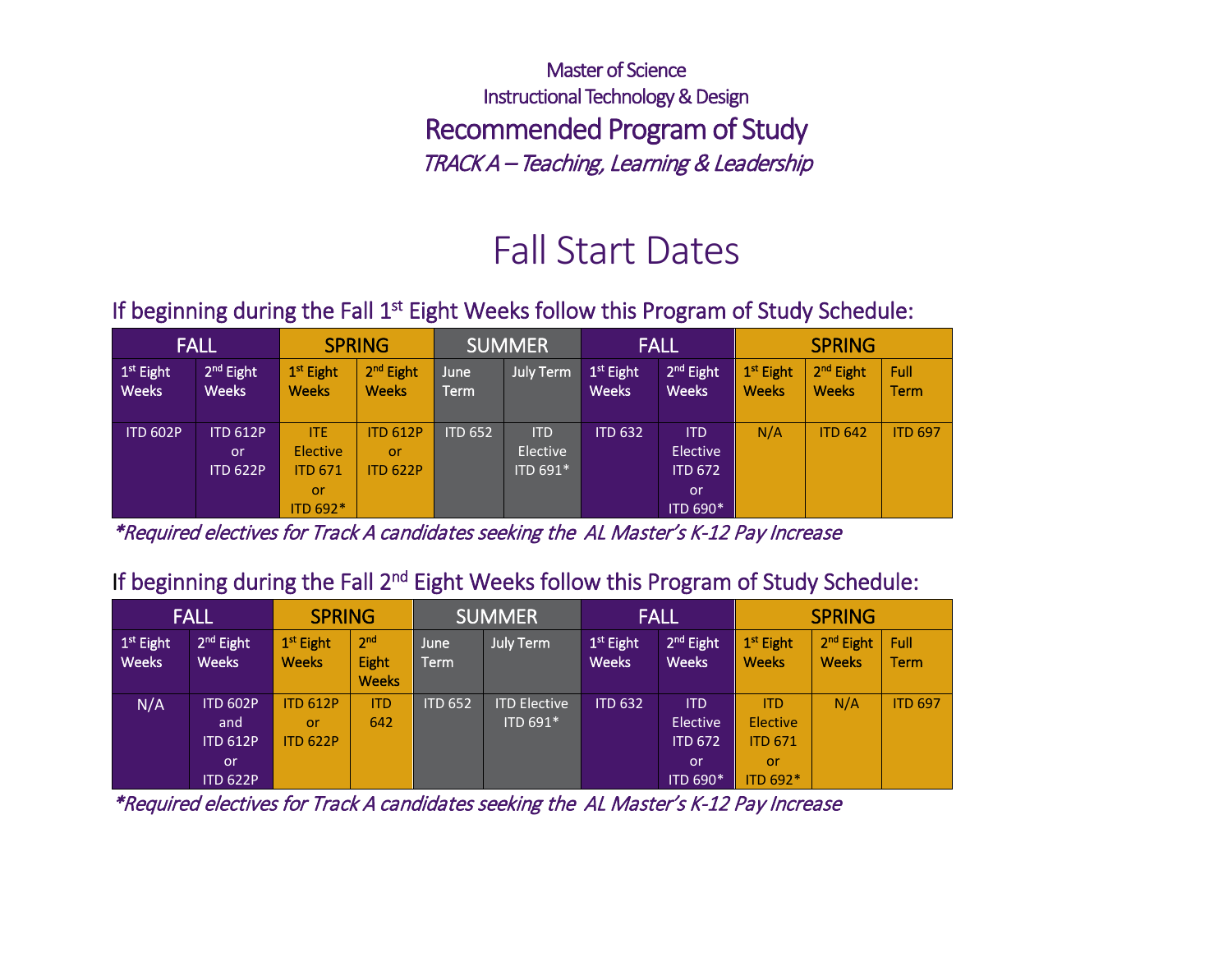Master of Science Instructional Technology & Design Recommended Program of Study TRACK A – Teaching, Learning & Leadership

# Fall Start Dates

### If beginning during the Fall 1<sup>st</sup> Eight Weeks follow this Program of Study Schedule:

|                                       | <b>FALL</b>                              |                                                            | <b>SPRING</b>                            |                | <b>SUMMER</b>                      |                             | <b>FALL</b>                                                        | <b>SPRING</b>               |                                       |                     |
|---------------------------------------|------------------------------------------|------------------------------------------------------------|------------------------------------------|----------------|------------------------------------|-----------------------------|--------------------------------------------------------------------|-----------------------------|---------------------------------------|---------------------|
| 1 <sup>st</sup> Eight<br><b>Weeks</b> | $2nd$ Eight<br><b>Weeks</b>              | 1 <sup>st</sup> Eight<br><b>Weeks</b>                      | 2 <sup>nd</sup> Eight<br><b>Weeks</b>    | June<br>Term   | <b>July Term</b>                   | $1st$ Eight<br><b>Weeks</b> | 2 <sup>nd</sup> Eight<br><b>Weeks</b>                              | $1st$ Eight<br><b>Weeks</b> | 2 <sup>nd</sup> Eight<br><b>Weeks</b> | Full<br><b>Term</b> |
| <b>ITD 602P</b>                       | <b>ITD 612P</b><br>or<br><b>ITD 622P</b> | <b>ITE</b><br>Elective<br><b>ITD 671</b><br>or<br>ITD 692* | <b>ITD 612P</b><br>or<br><b>ITD 622P</b> | <b>ITD 652</b> | <b>ITD</b><br>Elective<br>ITD 691* | <b>ITD 632</b>              | <b>ITD</b><br><b>Elective</b><br><b>ITD 672</b><br>.or<br>ITD 690* | N/A                         | <b>ITD 642</b>                        | <b>ITD 697</b>      |

\*Required electives for Track A candidates seeking the AL Master's K-12 Pay Increase

### If beginning during the Fall 2<sup>nd</sup> Eight Weeks follow this Program of Study Schedule:

|                                       | <b>FALL</b>                 | <b>SPRING</b>                         |                                          |                | <b>SUMMER</b>       |                             | <b>FALL</b>                           | <b>SPRING</b>                         |                                       |                     |
|---------------------------------------|-----------------------------|---------------------------------------|------------------------------------------|----------------|---------------------|-----------------------------|---------------------------------------|---------------------------------------|---------------------------------------|---------------------|
| 1 <sup>st</sup> Eight<br><b>Weeks</b> | $2nd$ Eight<br><b>Weeks</b> | 1 <sup>st</sup> Eight<br><b>Weeks</b> | 2 <sub>nd</sub><br>Eight<br><b>Weeks</b> | June<br>Term   | <b>July Term</b>    | $1st$ Eight<br><b>Weeks</b> | 2 <sup>nd</sup> Eight<br><b>Weeks</b> | 1 <sup>st</sup> Eight<br><b>Weeks</b> | 2 <sup>nd</sup> Eight<br><b>Weeks</b> | Full<br><b>Term</b> |
| N/A                                   | <b>ITD 602P</b>             | <b>ITD 612P</b>                       | <b>ITD</b>                               | <b>ITD 652</b> | <b>ITD Elective</b> | <b>ITD 632</b>              | <b>ITD</b>                            | <b>ITD</b>                            | N/A                                   | <b>ITD 697</b>      |
|                                       | and                         | or                                    | 642                                      |                | ITD 691*            |                             | Elective                              | Elective                              |                                       |                     |
|                                       | <b>ITD 612P</b>             | <b>ITD 622P</b>                       |                                          |                |                     |                             | <b>ITD 672</b>                        | <b>ITD 671</b>                        |                                       |                     |
|                                       | <b>or</b>                   |                                       |                                          |                |                     |                             | or                                    | or                                    |                                       |                     |
|                                       | <b>ITD 622P</b>             |                                       |                                          |                |                     |                             | ITD 690*                              | ITD 692*                              |                                       |                     |

\*Required electives for Track A candidates seeking the AL Master's K-12 Pay Increase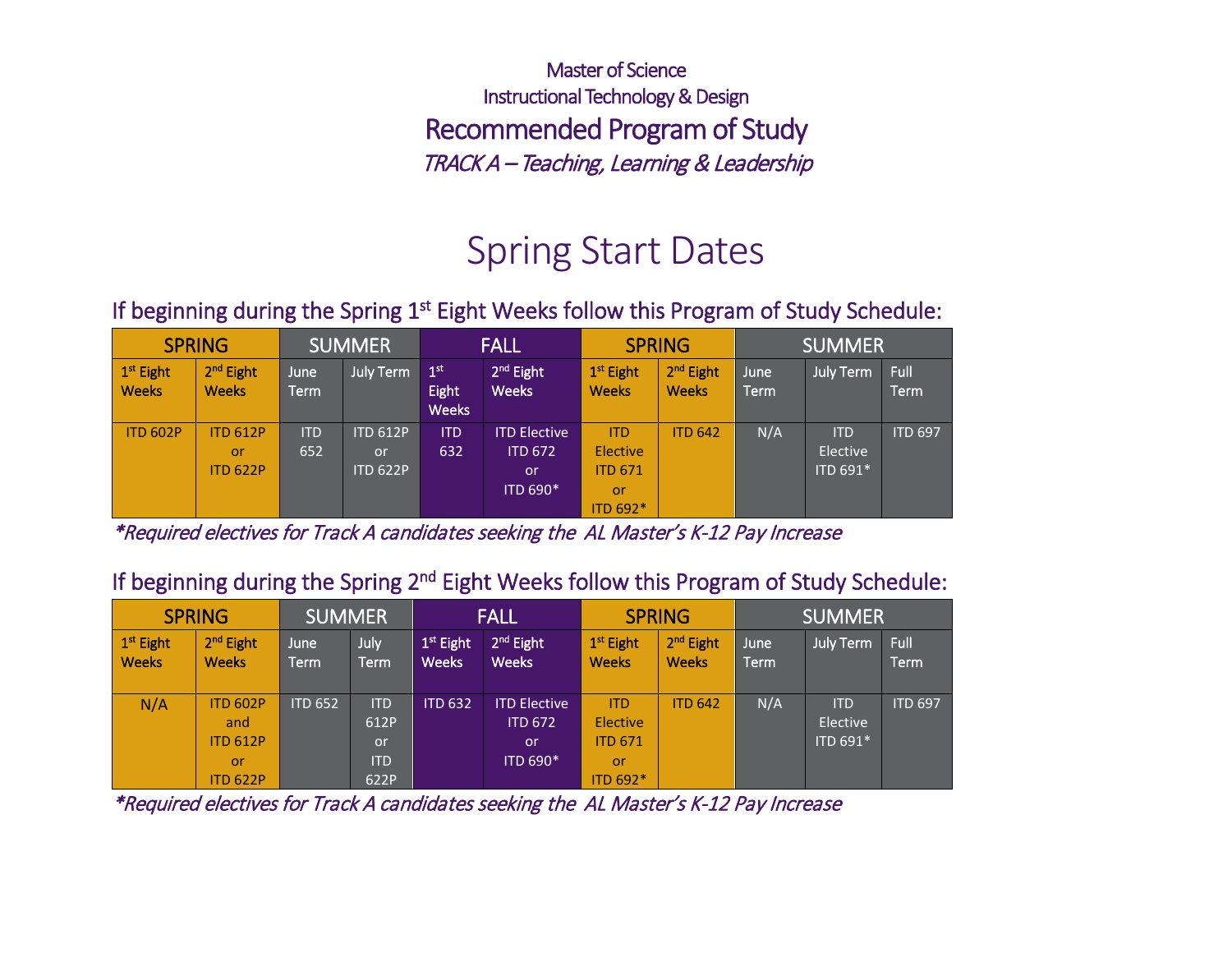Master of Science Instructional Technology & Design Recommended Program of Study TRACK A – Teaching, Learning & Leadership

# Spring Start Dates

### If beginning during the Spring  $1<sup>st</sup>$  Eight Weeks follow this Program of Study Schedule:

| <b>SPRING</b>                         |                                          | <b>SUMMER</b>     |                                          | <b>FALL</b>                              |                                                         | <b>SPRING</b>                                              |                                       | <b>SUMMER</b> |                                    |                     |
|---------------------------------------|------------------------------------------|-------------------|------------------------------------------|------------------------------------------|---------------------------------------------------------|------------------------------------------------------------|---------------------------------------|---------------|------------------------------------|---------------------|
| 1 <sup>st</sup> Eight<br><b>Weeks</b> | 2 <sup>nd</sup> Eight<br><b>Weeks</b>    | June<br>Term      | <b>July Term</b>                         | 1 <sup>st</sup><br>Eight<br><b>Weeks</b> | 2 <sup>nd</sup> Eight<br><b>Weeks</b>                   | 1 <sup>st</sup> Eight<br><b>Weeks</b>                      | 2 <sup>nd</sup> Eight<br><b>Weeks</b> | June<br>Term  | <u>l Ju</u> ly Term                | Full<br><b>Term</b> |
| <b>ITD 602P</b>                       | <b>ITD 612P</b><br>or<br><b>ITD 622P</b> | <b>ITD</b><br>652 | <b>ITD 612P</b><br>or<br><b>ITD 622P</b> | <b>ITD</b><br>632                        | <b>ITD Elective</b><br><b>ITD 672</b><br>or<br>ITD 690* | <b>ITD</b><br>Elective<br><b>ITD 671</b><br>or<br>ITD 692* | <b>ITD 642</b>                        | N/A           | <b>ITD</b><br>Elective<br>ITD 691* | <b>ITD 697</b>      |

\*Required electives for Track A candidates seeking the AL Master's K-12 Pay Increase

#### If beginning during the Spring 2<sup>nd</sup> Eight Weeks follow this Program of Study Schedule:

| <b>SPRING</b>                         |                                                                    | <b>SUMMER</b>  |                                                       | <b>FALL</b>                           |                                                         | <b>SPRING</b>                                              |                                       | <b>SUMMER</b> |                                    |                |
|---------------------------------------|--------------------------------------------------------------------|----------------|-------------------------------------------------------|---------------------------------------|---------------------------------------------------------|------------------------------------------------------------|---------------------------------------|---------------|------------------------------------|----------------|
| 1 <sup>st</sup> Eight<br><b>Weeks</b> | $2nd$ Eight<br><b>Weeks</b>                                        | June<br>Term.  | July<br>Term                                          | 1 <sup>st</sup> Eight<br><b>Weeks</b> | 2 <sup>nd</sup> Eight<br><b>Weeks</b>                   | 1 <sup>st</sup> Eight<br><b>Weeks</b>                      | 2 <sup>nd</sup> Eight<br><b>Weeks</b> | June<br>Term  | July Term                          | Full<br>Term   |
| N/A                                   | <b>ITD 602P</b><br>and<br><b>ITD 612P</b><br>or<br><b>ITD 622P</b> | <b>ITD 652</b> | <b>ITD</b><br>612P<br><b>or</b><br><b>ITD</b><br>622P | <b>ITD 632</b>                        | <b>ITD Elective</b><br><b>ITD 672</b><br>or<br>ITD 690* | <b>ITD</b><br>Elective<br><b>ITD 671</b><br>or<br>ITD 692* | <b>ITD 642</b>                        | N/A           | <b>ITD</b><br>Elective<br>ITD 691* | <b>ITD 697</b> |

\*Required electives for Track A candidates seeking the AL Master's K-12 Pay Increase